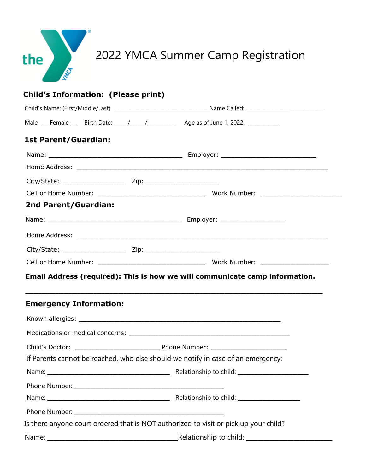

|                                                                                         | Child's Name: (First/Middle/Last) __________________________________Name Called: ________________________ |  |  |  |  |
|-----------------------------------------------------------------------------------------|-----------------------------------------------------------------------------------------------------------|--|--|--|--|
| Male __ Female __ Birth Date: ____/_____/___________ Age as of June 1, 2022: __________ |                                                                                                           |  |  |  |  |
| <b>1st Parent/Guardian:</b>                                                             |                                                                                                           |  |  |  |  |
|                                                                                         |                                                                                                           |  |  |  |  |
|                                                                                         |                                                                                                           |  |  |  |  |
|                                                                                         |                                                                                                           |  |  |  |  |
|                                                                                         |                                                                                                           |  |  |  |  |
| <b>2nd Parent/Guardian:</b>                                                             |                                                                                                           |  |  |  |  |
|                                                                                         |                                                                                                           |  |  |  |  |
|                                                                                         |                                                                                                           |  |  |  |  |
|                                                                                         |                                                                                                           |  |  |  |  |
|                                                                                         |                                                                                                           |  |  |  |  |
|                                                                                         | Email Address (required): This is how we will communicate camp information.                               |  |  |  |  |
| <b>Emergency Information:</b>                                                           |                                                                                                           |  |  |  |  |
|                                                                                         |                                                                                                           |  |  |  |  |
|                                                                                         |                                                                                                           |  |  |  |  |
|                                                                                         |                                                                                                           |  |  |  |  |
|                                                                                         | If Parents cannot be reached, who else should we notify in case of an emergency:                          |  |  |  |  |
|                                                                                         |                                                                                                           |  |  |  |  |
|                                                                                         |                                                                                                           |  |  |  |  |
|                                                                                         |                                                                                                           |  |  |  |  |

Name: \_\_\_\_\_\_\_\_\_\_\_\_\_\_\_\_\_\_\_\_\_\_\_\_\_\_\_\_\_\_\_\_\_\_\_\_\_\_\_\_\_\_\_\_Relationship to child: \_\_\_\_\_\_\_\_\_\_\_\_\_\_\_\_\_\_\_\_\_\_\_\_\_\_\_\_\_